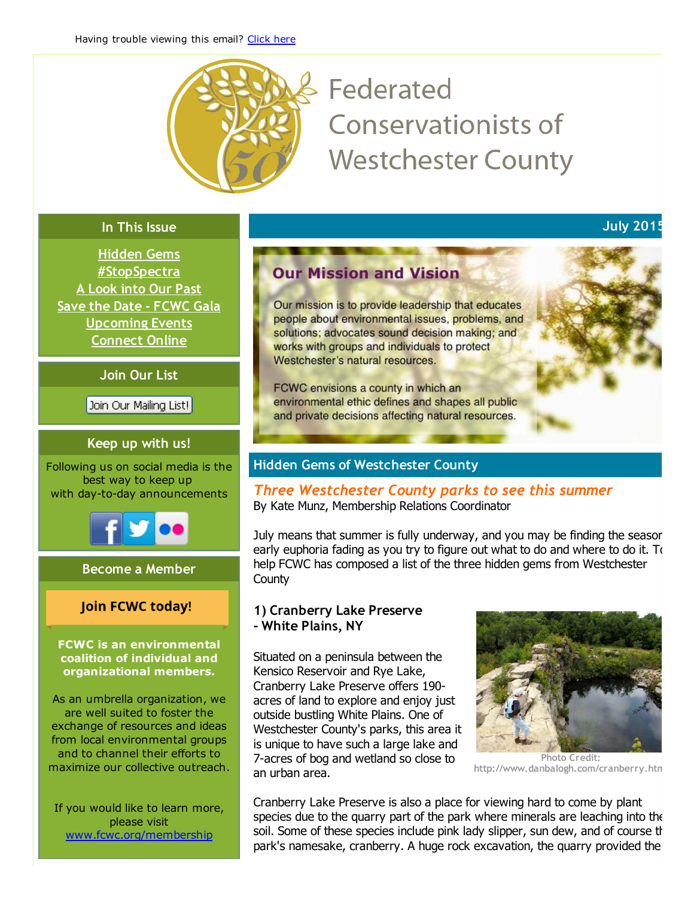

# In This Issue

## **Our Mission and Vision**

Our mission is to provide leadership that educates people about environmental issues, problems, and solutions; advocates sound decision making; and works with groups and individuals to protect Westchester's natural resources.

FCWC envisions a county in which an environmental ethic defines and shapes all public and private decisions affecting natural resources.

## Hidden Gems of Westchester County

*Three Westchester County parks to see this summer* By Kate Munz, Membership Relations Coordinator

July means that summer is fully underway, and you may be finding the seasor early euphoria fading as you try to figure out what to do and where to do it. To help FCWC has composed a list of the three hidden gems from Westchester **County** 

#### 1) Cranberry Lake Preserve ‐ White Plains, NY

Situated on a peninsula between the Kensico Reservoir and Rye Lake, Cranberry Lake Preserve offers 190 acres of land to explore and enjoy just outside bustling White Plains. One of Westchester County's parks, this area it is unique to have such a large lake and 7acres of bog and wetland so close to an urban area.



Photo Credit: http://www.danbalogh.com/cranberry.html

Cranberry Lake Preserve is also a place for viewing hard to come by plant species due to the quarry part of the park where minerals are leaching into the soil. Some of these species include pink lady slipper, sun dew, and of course the park's namesake, cranberry. A huge rock excavation, the quarry provided the

Hidden Gems

#StopSpectra A Look into Our Past Save the Date ‐ FCWC Gala Upcoming Events Connect Online

Join Our List

Join Our Mailing List!

## [Keep](http://visitor.r20.constantcontact.com/email.jsp?m=1102238946291&id=preview) up with us!

Following us on social media is the best way to keep up with day-to-day announcements



### [Becom](https://www.facebook.com/pages/Federated-Conservationists-of-Westchester-County-Inc/279678283013?ref=hl&ref_type=bookmark)e a [M](https://twitter.com/fcwc1)[embe](https://www.flickr.com/photos/federatedconservationistsofwestchestercounty/)r

## **Join FCWC today!**

FCWC is an [environmental](http://www.fcwc.org/#!membership/cjy4) coalition of individual and organizational members.

As an umbrella organization, we are well suited to foster the exchange of resources and ideas from local environmental groups and to channel their efforts to maximize our collective outreach.

If you would like to learn more, please visit www.fcwc.org/membership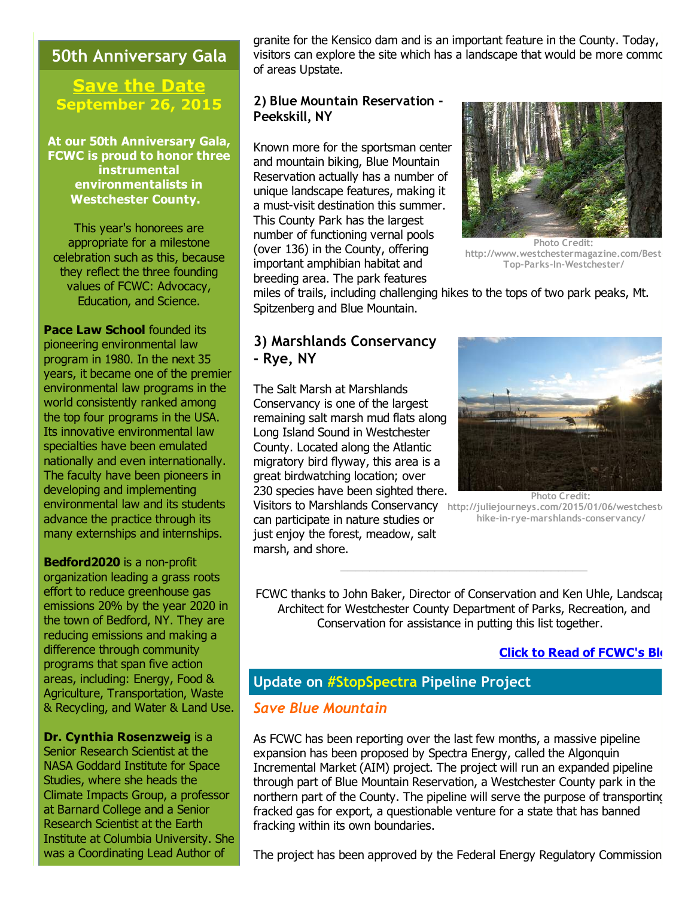## 50th Anniversary Gala

## Save the Date September 26, 2015

At our 50th Anniversary Gala, FCWC is proud to honor three **instrumental** environmentalists in Westchester County.

This year's honorees are appropriate for a milestone celebration such as this, because they reflect the three founding values of FCWC: Advocacy, Education, and Science.

Pace Law School founded its pioneering environmental law program in 1980. In the next 35 years, it became one of the premier environmental law programs in the world consistently ranked among the top four programs in the USA. Its innovative environmental law specialties have been emulated nationally and even internationally. The faculty have been pioneers in developing and implementing environmental law and its students advance the practice through its many externships and internships.

Bedford2020 is a non-profit organization leading a grass roots effort to reduce greenhouse gas emissions 20% by the year 2020 in the town of Bedford, NY. They are reducing emissions and making a difference through community programs that span five action areas, including: Energy, Food & Agriculture, Transportation, Waste & Recycling, and Water & Land Use.

Dr. Cynthia Rosenzweig is a Senior Research Scientist at the NASA Goddard Institute for Space Studies, where she heads the Climate Impacts Group, a professor at Barnard College and a Senior Research Scientist at the Earth Institute at Columbia University. She was a Coordinating Lead Author of

granite for the Kensico dam and is an important feature in the County. Today, visitors can explore the site which has a landscape that would be more common of areas Upstate.

#### 2) Blue Mountain Reservation ‐ Peekskill, NY

Known more for the sportsman center and mountain biking, Blue Mountain Reservation actually has a number of unique landscape features, making it a must-visit destination this summer. This County Park has the largest number of functioning vernal pools (over 136) in the County, offering important amphibian habitat and breeding area. The park features



Photo Credit: http://www.westchestermagazine.com/Best‐ Top‐Parks‐In‐Westchester/

miles of trails, including challenging hikes to the tops of two park peaks, Mt. Spitzenberg and Blue Mountain.

## 3) Marshlands Conservancy ‐ Rye, NY

The Salt Marsh at Marshlands Conservancy is one of the largest remaining salt marsh mud flats along Long Island Sound in Westchester County. Located along the Atlantic migratory bird flyway, this area is a great birdwatching location; over 230 species have been sighted there. can participate in nature studies or just enjoy the forest, meadow, salt marsh, and shore.



Photo Credit: Visitors to Marshlands Conservancy http://juliejourneys.com/2015/01/06/westchester hike‐in‐rye‐marshlands‐conservancy/

FCWC thanks to John Baker, Director of Conservation and Ken Uhle, Landscap Architect for Westchester County Department of Parks, Recreation, and Conservation for assistance in putting this list together.

### Click to Read of FCWC's Blog

## Update on #StopSpectra Pipeline Pr[oject](https://fcwc.wordpress.com/2015/07/09/hidden-gems-of-westchester-county/)

## *Save Blue Mountain*

As FCWC has been reporting over the last few months, a massive pipeline expansion has been proposed by Spectra Energy, called the Algonquin Incremental Market (AIM) project. The project will run an expanded pipeline through part of Blue Mountain Reservation, a Westchester County park in the northern part of the County. The pipeline will serve the purpose of transporting fracked gas for export, a questionable venture for a state that has banned fracking within its own boundaries.

The project has been approved by the Federal Energy Regulatory Commission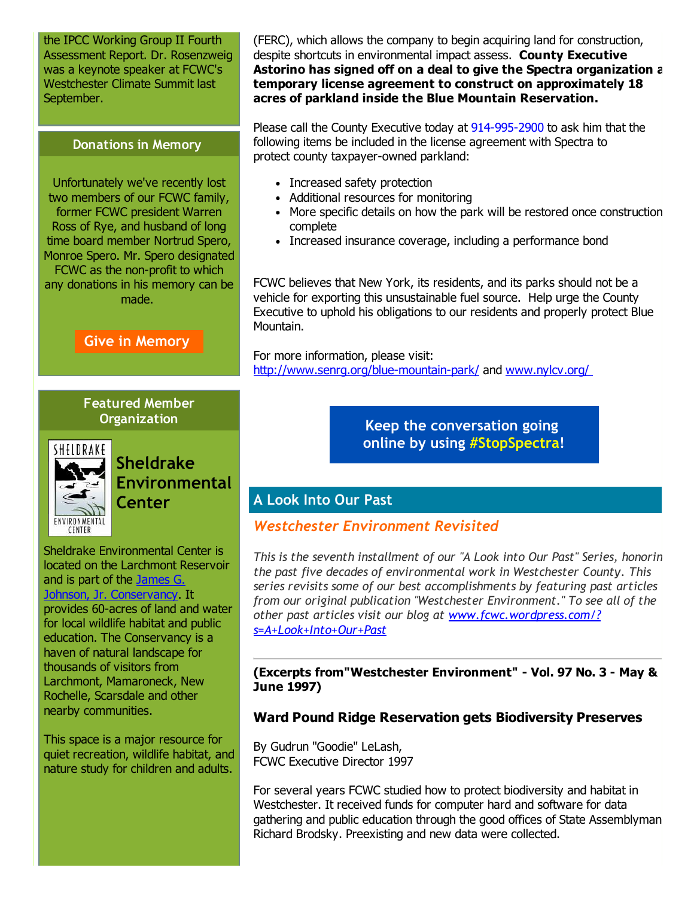the IPCC Working Group II Fourth Assessment Report. Dr. Rosenzweig was a keynote speaker at FCWC's Westchester Climate Summit last September.

#### Donations in Memory

Unfortunately we've recently lost two members of our FCWC family, former FCWC president Warren Ross of Rye, and husband of long time board member Nortrud Spero, Monroe Spero. Mr. Spero designated FCWC as the non-profit to which any donations in his memory can be made.

#### Give in Memory

## Featured Member **Organization**



Sheldrake Environmental **Center** 

Sheldrake Environmental Center is located on the Larchmont Reservoir and is part of the **James G.** Johnson, Jr. Conservancy. It provides 60-acres of land and water for local [wildlife](http://www.sheldrakecenter.org/map.html) habitat and public education. The Conservancy is a haven of natural landscape for thousands of visitors from Larchmont, Mamaroneck, New Rochelle, Scarsdale and other nearby communities.

This space is a major resource for quiet recreation, wildlife habitat, and nature study for children and adults.

(FERC), which allows the company to begin acquiring land for construction, despite shortcuts in environmental impact assess. County Executive Astorino has signed off on a deal to give the Spectra organization a temporary license agreement to construct on approximately 18 acres of parkland inside the Blue Mountain Reservation.

Please call the County Executive today at 914-995-2900 to ask him that the following items be included in the license agreement with Spectra to protect county taxpayer-owned parkland:

- Increased safety protection
- Additional resources for monitoring
- More specific details on how the park will be restored once construction complete
- Increased insurance coverage, including a performance bond

FCWC believes that New York, its residents, and its parks should not be a vehicle for exporting this unsustainable fuel source. Help urge the County Executive to uphold his obligations to our residents and properly protect Blue Mountain.

For more information, please visit: http://www.senrg.org/blue-mountain-park/ and www.nylcv.org/

> Keep the conversation going online by using #StopSpectra!

## A Look Into Our Past

*Westchester Environment Revisited*

*This is the seventh installment of our "A Look into Our Past" Series, honoring the past five decades of environmental work in Westchester County. This series revisits some of our best accomplishments by featuring past articles from our original publication "Westchester Environment." To see all of the other past articles visit our blog at www.fcwc.wordpress.com/? s=A+Look+Into+Our+Past*

(Excerpts [from"Westchester](https://fcwc.wordpress.com/?s=A+Look+Into+Our+Past) Environment" - Vol. 97 No. 3 - May & June 1997)

#### Ward Pound Ridge Reservation gets Biodiversity Preserves

By Gudrun "Goodie" LeLash, FCWC Executive Director 1997

For several years FCWC studied how to protect biodiversity and habitat in Westchester. It received funds for computer hard and software for data gathering and public education through the good offices of State Assemblyman Richard Brodsky. Preexisting and new data were collected.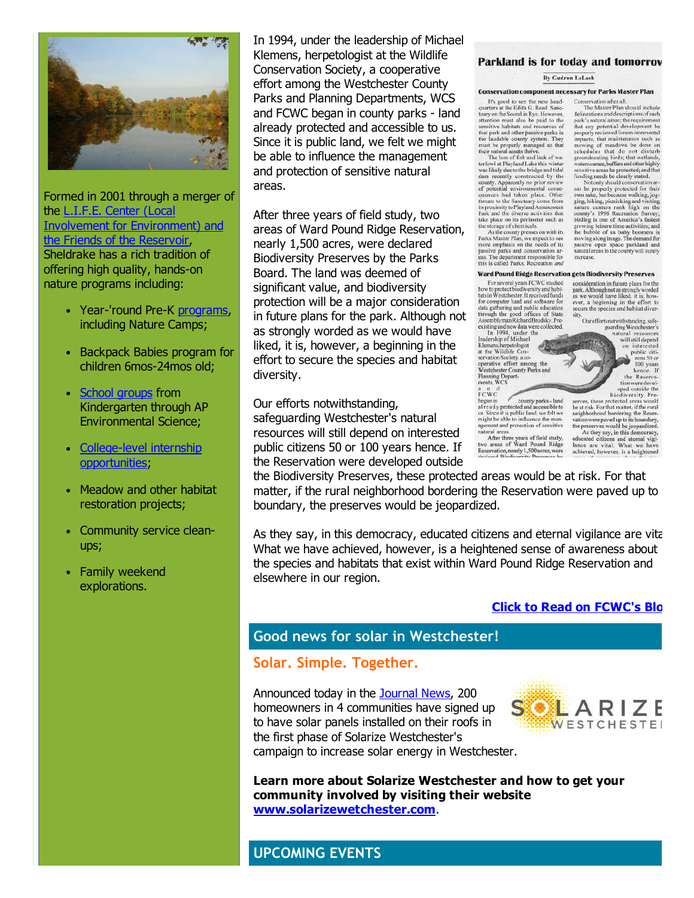

Formed in 2001 through a merger of the L.I.F.E. Center (Local Involvement for Environment) and the Friends of the Reservoir, [Sheldrake](http://www.sheldrakecenter.org/about_History.html) has a rich tradition of offering high quality, hands-on nature programs including:

- Year-'round Pre-K programs, including Nature Camps;
- Backpack Babies [program](http://www.sheldrakecenter.org/calendar.html) for children 6mos-24mos old;
- School groups from Kindergarten through AP [Environmental](http://www.sheldrakecenter.org/schoolPrograms.html) Science;
- College-level internship opportunities;
- [Meadow](http://www.sheldrakecenter.org/employment.html) and other habitat restoration projects;
- Community service cleanups;
- Family weekend explorations.

In 1994, under the leadership of Michael Klemens, herpetologist at the Wildlife Conservation Society, a cooperative effort among the Westchester County Parks and Planning Departments, WCS and FCWC began in county parks - land already protected and accessible to us. Since it is public land, we felt we might be able to influence the management and protection of sensitive natural areas.

After three years of field study, two areas of Ward Pound Ridge Reservation, nearly 1,500 acres, were declared Biodiversity Preserves by the Parks Board. The land was deemed of significant value, and biodiversity protection will be a major consideration in future plans for the park. Although not as strongly worded as we would have liked, it is, however, a beginning in the effort to secure the species and habitat diversity.

#### Our efforts notwithstanding, safeguarding Westchester's natural resources will still depend on interested public citizens 50 or 100 years hence. If the Reservation were developed outside

the Biodiversity Preserves, these protected areas would be at risk. For that matter, if the rural neighborhood bordering the Reservation were paved up to boundary, the preserves would be jeopardized.

As they say, in this democracy, educated citizens and eternal vigilance are vital. What we have achieved, however, is a heightened sense of awareness about the species and habitats that exist within Ward Pound Ridge Reservation and elsewhere in our region.

#### Click to Read on FCWC's Blog

### Good news for solar in Westcheste[r!](https://fcwc.wordpress.com/2015/07/09/new-a-look-into-our-past-ward-pound-ridge-reservation-gets-biodiversity-preserves/)

## Solar. Simple. Together.

Announced today in the Journal News, 200 homeowners in 4 communities have signed up to have solar panels installed on their roofs in the first phase of Solarize [Westchester](http://www.lohud.com/story/money/real-estate/lohud-real-estate/2015/07/08/solarize-westchester-campaign/29884571/)'s campaign to increase solar energy in Westchester.



Learn more about Solarize Westchester and how to get your community involved by visiting their website www.solarizewetchester.com.

## [UPCOMING](http://www.solarizewestchester.com/) EVENTS

#### Parkland is for today and tomorrow

#### By Gudrun LeLash

# **Conservation component necessary for Parks Master Plan**  $\begin{tabular}{p{0.875\textwidth}}\hline\textbf{Conservation after all.} \end{tabular} \hline \begin{tabular}{p{0.85\textwidth}}\hline\textbf{N}}\hline\textbf{N}}\hline\textbf{M} & \textbf{M} & \textbf{M} & \textbf{M} & \textbf{M} & \textbf{M} & \textbf{M} & \textbf{M} \\ \hline \textbf{d} & \textbf{d} & \textbf{d} & \textbf{M} & \textbf{M} & \textbf{M} & \textbf{M} & \textbf{M} & \textbf{M} & \textbf{M} \\ \textbf{d} & \textbf{d} & \$

mowing of meadows be done on<br>schedules that do not disturb

schedules that do not disturbed<br>groundesting birds; that wellands, watercourses, buffers and other highly<br>lemmarks are precised, and that function functions of the comparison of<br>the property function of the space of the sp

growing leisure time activities; and<br>the bubble of us baby boomers is

the bubble of us baby boomers is<br>moving along in age. The demand for<br>passive open space parkland and<br>natural areas in the county will surely

consideration in future plans for the<br>park. Althoughnot as strongly worded consideration in runsing park. Although<br>not as strongly worded as we would have liked, it is, however, a beginning in the effort to<br>secure the species and habitat diver-

> Our efforts not with standing, safe guarding Westchester's natural resources will still depend

Conservation to some the new head-<br>quarters at the Edith G. Read Sanctians<br>properties South in Rye. However,<br>attention must also be paid to the<br>sensitive habitats and resources of<br>that park and other passive parks in<br>the l

their natural assets three.<br>
their natural assets three.<br>
their natural assets three.<br>
terfowl at Playland Lake this winter<br>
versa likely due to the dige and tidal<br>
was likely due to the county. Apparently no prior review<br> take place on its perimeter such as the storage of chemicals.

the storage of chemicals.<br>As the county presses on with its<br>Parks Master Plan, we expect to see<br>more emphasis on the needs of its<br>passive parks and conservation ar-<br>eas. The department responsible for<br>this is called Parks,

#### Ward Pound Ridge Reservation gets Biodiversity Preserves

sity

Ward Pound Ridge Reservation<br>for Sesseval years FCW. Studied<br>how to protect biodiversity and habitatin Westchest It received funds<br>for computer hard and software for<br>through the good offices of State<br>through the good offic

servation Society, a co operative effort among the<br>Westchester County Parks and Planning Depart-<br>ments, WCS<br>a n d FCWC



FCWC<br>algorithm county parks - land<br>already protected and accessible to<br>us. Since it is public land, we felt we<br>mappenent and protection of sensitive<br>natural areas. natural races.<br>After three years of field study,<br>two areas of Ward Pound Ridge<br>Reservation, nearly 1,500 acres, were<br>declared Rindiversity Preserves by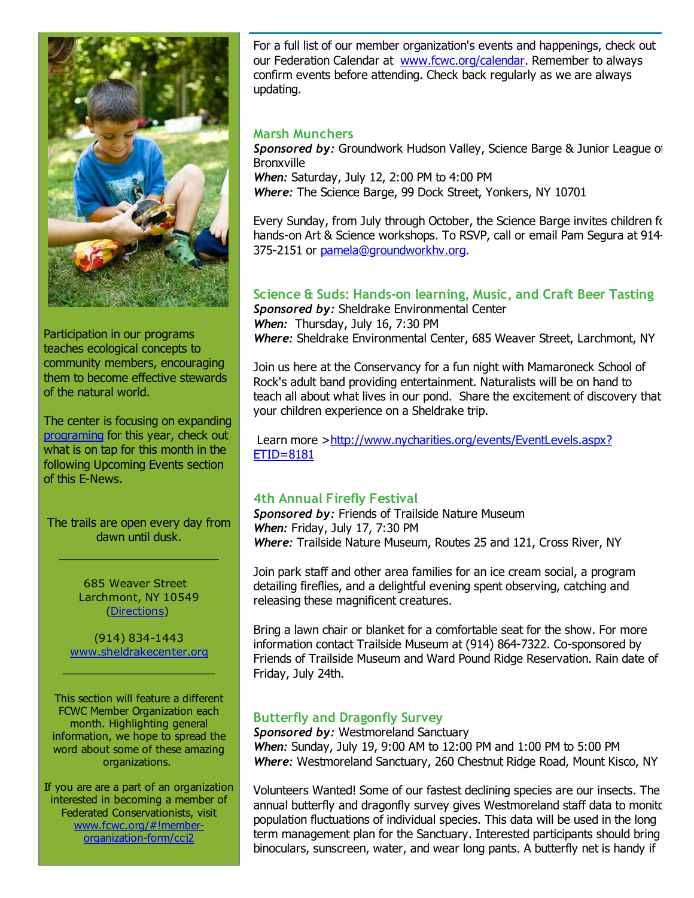

Participation in our programs teaches ecological concepts to community members, encouraging them to become effective stewards of the natural world.

The center is focusing on expanding programing for this year, check out what is on tap for this month in the [following](http://www.sheldrakecenter.org/events.html) Upcoming Events section of this F-News.

The trails are open every day from dawn until dusk.

> 685 Weaver Street Larchmont, NY 10549 (Directions)

(914) 834-1443 www.s[heldrakece](https://www.google.com/maps/@41.2817909,-73.5586364,14z)nter.org

This [section](http://www.sheldrakecenter.org/) will feature a different FCWC Member Organization each month. Highlighting general information, we hope to spread the word about some of these amazing organizations.

If you are are a part of an organization interested in becoming a member of Federated Conservationists, visit www.fcwc.org/#!memberorganization-form/ccj2

For a full list of our member organization's events and happenings, check out our Federation Calendar at www.fcwc.org/calendar. Remember to always confirm events before attending. Check back regularly as we are always updating.

#### Marsh Munchers

*Sponsored by:* Groundwork Hudson Valley, Science Barge & Junior League of **Bronxville** *When:* Saturday, July 12, 2:00 PM to 4:00 PM

*Where:* The Science Barge, 99 Dock Street, Yonkers, NY 10701

Every Sunday, from July through October, the Science Barge invites children for hands-on Art & Science workshops. To RSVP, call or email Pam Segura at 914 375-2151 or pamela@groundworkhv.org.

#### Science & Suds: [Hands‐on](mailto:pamela@groundworkhv.org) learning, Music, and Craft Beer Tasting *Sponsored by:* Sheldrake Environmental Center *When:* Thursday, July 16, 7:30 PM *Where:* Sheldrake Environmental Center, 685 Weaver Street, Larchmont, NY

Join us here at the Conservancy for a fun night with Mamaroneck School of Rock's adult band providing entertainment. Naturalists will be on hand to teach all about what lives in our pond. Share the excitement of discovery that your children experience on a Sheldrake trip.

Learn more >http://www.nycharities.org/events/EventLevels.aspx? ETID=8181

### 4th Annual Firefly [Festival](http://www.nycharities.org/events/EventLevels.aspx?ETID=8181)

*Sponsored by:* Friends of Trailside Nature Museum *When:* Friday, July 17, 7:30 PM *Where:* Trailside Nature Museum, Routes 25 and 121, Cross River, NY

Join park staff and other area families for an ice cream social, a program detailing fireflies, and a delightful evening spent observing, catching and releasing these magnificent creatures.

Bring a lawn chair or blanket for a comfortable seat for the show. For more information contact Trailside Museum at (914) 864-7322. Co-sponsored by Friends of Trailside Museum and Ward Pound Ridge Reservation. Rain date of Friday, July 24th.

### Butterfly and Dragonfly Survey

*Sponsored by:* Westmoreland Sanctuary *When:* Sunday, July 19, 9:00 AM to 12:00 PM and 1:00 PM to 5:00 PM *Where:* Westmoreland Sanctuary, 260 Chestnut Ridge Road, Mount Kisco, NY

Volunteers Wanted! Some of our fastest declining species are our insects. The annual butterfly and dragonfly survey gives Westmoreland staff data to monitor population fluctuations of individual species. This data will be used in the long term management plan for the Sanctuary. Interested participants should bring binoculars, sunscreen, water, and wear long pants. A butterfly net is handy if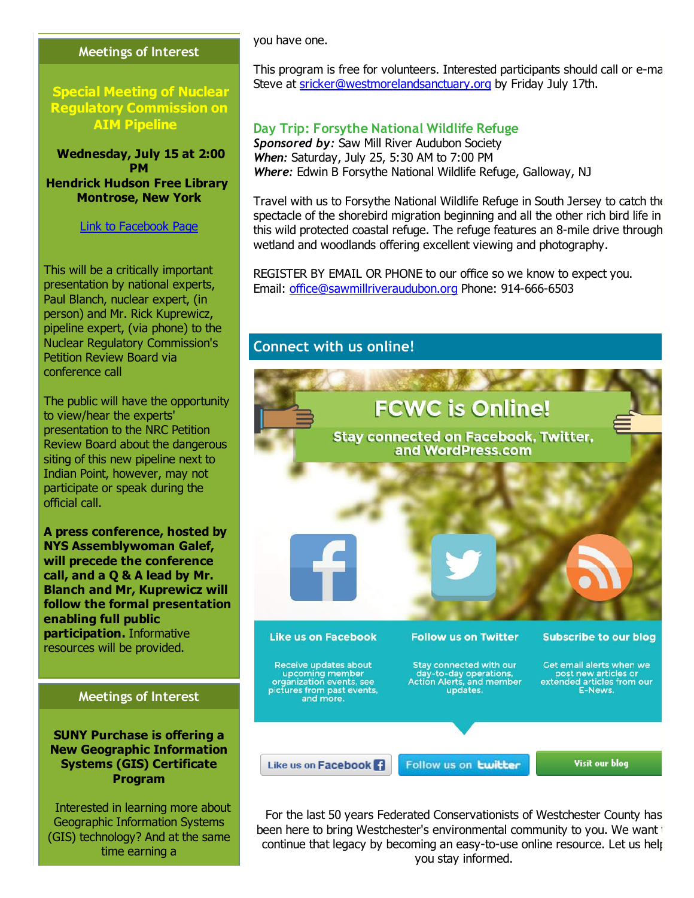#### [Meetings](http://www.fcwc.org/#!member-organization-form/ccj2) of Interest

Special Meeting of Nuclear Regulatory Commission on AIM Pipeline

Wednesday, July 15 at 2:00 PM Hendrick Hudson Free Library Montrose, New York

Link to Facebook Page

This will be a [critically](https://www.facebook.com/events/934674319911985/) important presentation by national experts, Paul Blanch, nuclear expert, (in person) and Mr. Rick Kuprewicz, pipeline expert, (via phone) to the Nuclear Regulatory Commission's Petition Review Board via conference call

The public will have the opportunity to view/hear the experts' presentation to the NRC Petition Review Board about the dangerous siting of this new pipeline next to Indian Point, however, may not participate or speak during the official call.

A press conference, hosted by NYS Assemblywoman Galef, will precede the conference call, and a Q & A lead by Mr. Blanch and Mr, Kuprewicz will follow the formal presentation enabling full public participation. Informative resources will be provided.

**Subscribe to our blog Like us on Facebook Follow us on Twitter** Receive updates about Stay connected with our Get email alerts when we day-to-day operations,<br>Action Alerts, and member<br>updates. post new articles or<br>extended articles from our upcoming member<br>organization events, see pictures from past events,<br>and more. E-News. Visit our blog Like us on Facebook **1** Follow us on **twitter** 

For the last 50 [years](https://www.facebook.com/federated.conservationists) Federated [Conservationists](https://twitter.com/FCWC1) of [Westchester](https://fcwc.wordpress.com/) County has been here to bring Westchester's environmental community to you. We want to continue that legacy by becoming an easy-to-use online resource. Let us help you stay informed.

Meetings of Interest

SUNY Purchase is offering a New Geographic Information Systems (GIS) Certificate Program

Interested in learning more about Geographic Information Systems (GIS) technology? And at the same time earning a

you have one.

This program is free for volunteers. Interested participants should call or e-ma Steve at sricker@westmorelandsanctuary.org by Friday July 17th.

## Day Trip: [Forsythe](mailto:sricker@westmorelandsanctuary.org) National Wildlife Refuge

*Sponsored by:* Saw Mill River Audubon Society *When:* Saturday, July 25, 5:30 AM to 7:00 PM *Where:* Edwin B Forsythe National Wildlife Refuge, Galloway, NJ

Travel with us to Forsythe National Wildlife Refuge in South Jersey to catch the spectacle of the shorebird migration beginning and all the other rich bird life in this wild protected coastal refuge. The refuge features an 8-mile drive through wetland and woodlands offering excellent viewing and photography.

**FCWC is Online!** 

**Stay connected on Facebook, Twitter,** and WordPress.com

REGISTER BY EMAIL OR PHONE to our office so we know to expect you. Email: office@sawmillriveraudubon.org Phone: 914-666-6503

## Connect with us online!